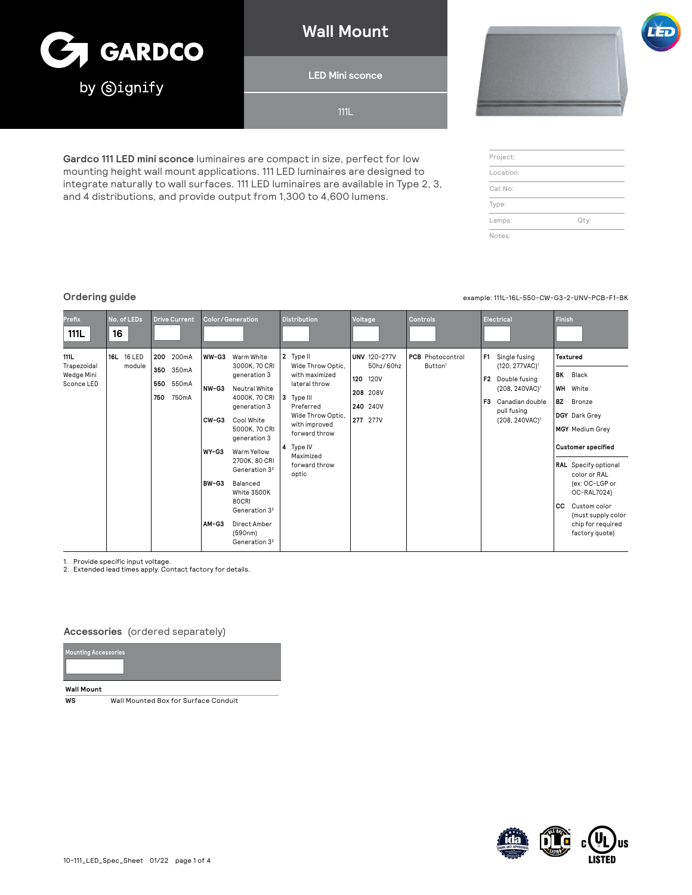

**Wall Mount**

**LED Mini sconce**

111L

**Gardco 111 LED mini sconce** luminaires are compact in size, perfect for low mounting height wall mount applications. 111 LED luminaires are designed to integrate naturally to wall surfaces. 111 LED luminaires are available in Type 2, 3, and 4 distributions, and provide output from 1,300 to 4,600 lumens.



| Project:  |      |
|-----------|------|
| Location: |      |
| Cat.No:   |      |
| Type:     |      |
| Lamps:    | Qty: |
| Notes:    |      |

**Ordering guide** example: 111L-16L-550-CW-G3-2-UNV-PCB-F1-BK

| Prefix<br>111L                                         | No. of LEDs<br>16    | <b>Drive Current</b>                                         | <b>Color/Generation</b>                                                                                                                                                                                                                                                                                                                                                                    | <b>Distribution</b>                                                                                                                                                                                         | Voltage                                                                                           | <b>Controls</b>                                | Electrical                                                                                                                                                                            | Finish                                                                                                                                                                                                                                                                                                |
|--------------------------------------------------------|----------------------|--------------------------------------------------------------|--------------------------------------------------------------------------------------------------------------------------------------------------------------------------------------------------------------------------------------------------------------------------------------------------------------------------------------------------------------------------------------------|-------------------------------------------------------------------------------------------------------------------------------------------------------------------------------------------------------------|---------------------------------------------------------------------------------------------------|------------------------------------------------|---------------------------------------------------------------------------------------------------------------------------------------------------------------------------------------|-------------------------------------------------------------------------------------------------------------------------------------------------------------------------------------------------------------------------------------------------------------------------------------------------------|
| <b>111L</b><br>Trapezoidal<br>Wedge Mini<br>Sconce LED | 16L 16 LED<br>module | 200mA<br>200<br>350<br>350mA<br>550mA<br>550<br>750mA<br>750 | WW-G3<br>Warm White<br>3000K. 70 CRI<br>generation 3<br>NW-G3<br>Neutral White<br>4000K, 70 CRI<br>generation 3<br>Cool White<br>$CW-G3$<br>5000K, 70 CRI<br>generation 3<br>Warm Yellow<br>WY-G3<br>2700K, 80 CRI<br>Generation 3 <sup>2</sup><br>BW-G3<br>Balanced<br>White 3500K<br>80CRI<br>Generation 3 <sup>2</sup><br>AM-G3<br>Direct Amber<br>(590nm)<br>Generation 3 <sup>2</sup> | 2 Type II<br>Wide Throw Optic,<br>with maximized<br>lateral throw<br>13<br>Type III<br>Preferred<br>Wide Throw Optic.<br>with improved<br>forward throw<br>4 Type IV<br>Maximized<br>forward throw<br>optic | <b>UNV 120-277V</b><br>50hz/60hz<br>120<br><b>120V</b><br>208 208V<br>240 240V<br><b>277</b> 277V | <b>PCB</b> Photocontrol<br>Button <sup>1</sup> | Single fusing<br>F <sub>1</sub><br>(120, 277VAC) <sup>1</sup><br>F2 Double fusing<br>(208, 240VAC) <sup>1</sup><br>Canadian double<br>F3<br>pull fusing<br>(208, 240VAC) <sup>1</sup> | Textured<br><b>BK</b> Black<br>WH<br>White<br><b>BZ</b><br>Bronze<br>DGY Dark Grey<br><b>MGY</b> Medium Grey<br><b>Customer specified</b><br>RAL Specify optional<br>color or RAL<br>(ex: OC-LGP or<br>OC-RAL7024)<br>cc<br>Custom color<br>(must supply color<br>chip for required<br>factory quote) |

1. Provide specific input voltage. 2. Extended lead times apply. Contact factory for details.

#### **Accessories** (ordered separately)

| <b>Mounting Accessories</b> |  |  |
|-----------------------------|--|--|
|                             |  |  |
|                             |  |  |
| <b>Wall Mount</b>           |  |  |

**WS** Wall Mounted Box for Surface Conduit

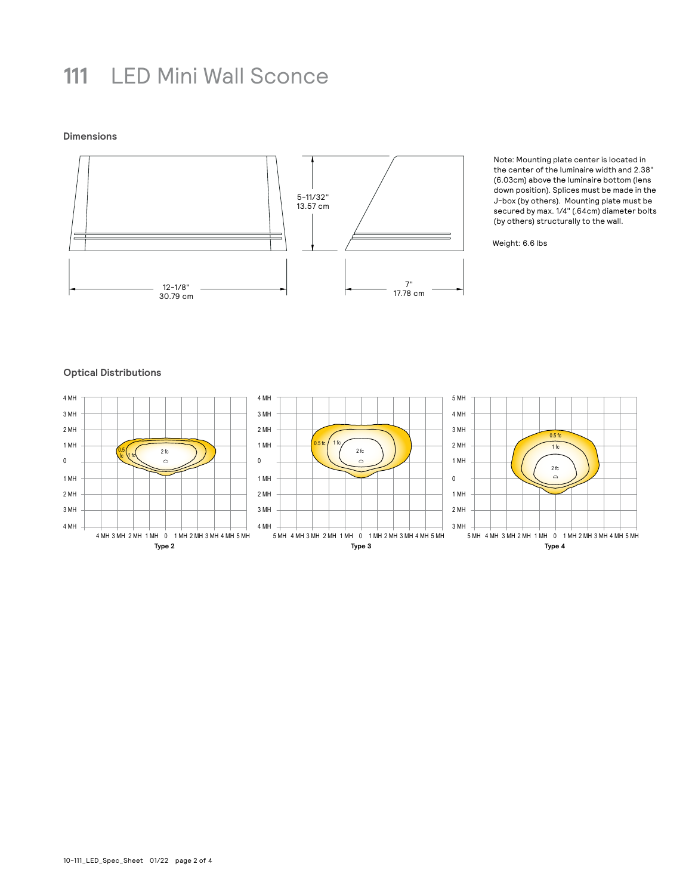## **111** LED Mini Wall Sconce

**Dimensions**



Note: Mounting plate center is located in the center of the luminaire width and 2.38" (6.03cm) above the luminaire bottom (lens down position). Splices must be made in the J-box (by others). Mounting plate must be secured by max. 1/4" (.64cm) diameter bolts (by others) structurally to the wall.

Weight: 6.6 lbs

#### **Optical Distributions**

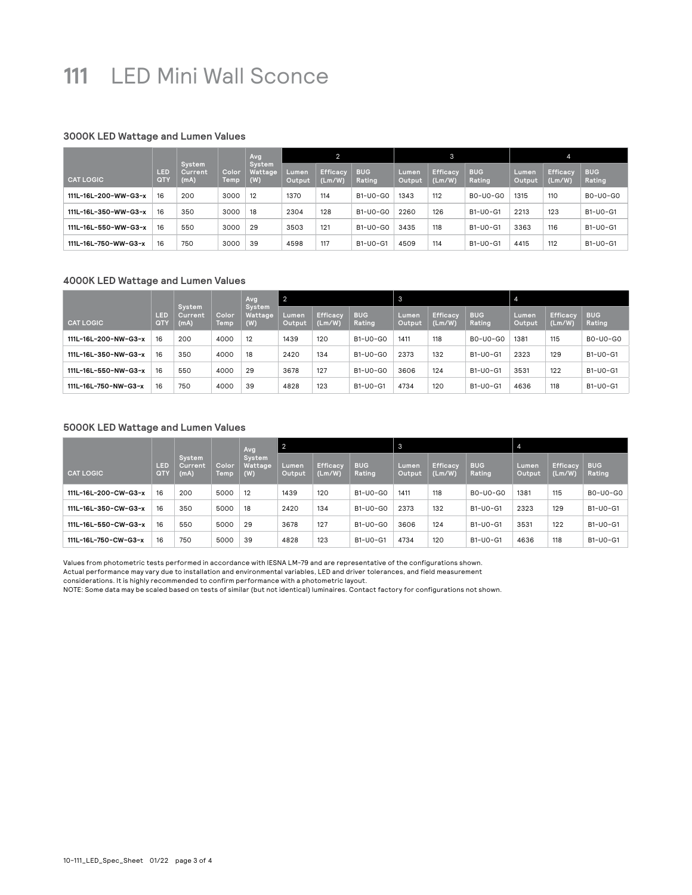## **111** LED Mini Wall Sconce

### **3000K LED Wattage and Lumen Values**

|                      |            |                                  |               | Avg                      | 2               |                           | $\mathbf{3}$         |                 |                           |                      |                 |                           |                      |
|----------------------|------------|----------------------------------|---------------|--------------------------|-----------------|---------------------------|----------------------|-----------------|---------------------------|----------------------|-----------------|---------------------------|----------------------|
| <b>CAT LOGIC</b>     | LED<br>QTY | System<br><b>Current</b><br>(mA) | Color<br>Temp | System<br>Wattage<br>(W) | Lumen<br>Output | <b>Efficacy</b><br>(Lm/W) | <b>BUG</b><br>Rating | Lumen<br>Output | <b>Efficacy</b><br>(Lm/W) | <b>BUG</b><br>Rating | Lumen<br>Output | <b>Efficacy</b><br>(Lm/W) | <b>BUG</b><br>Rating |
| 111L-16L-200-WW-G3-x | 16         | 200                              | 3000          | 12                       | 1370            | 114                       | $B1-UO-GO$           | 1343            | 112                       | B0-U0-G0             | 1315            | 110                       | B0-U0-G0             |
| 111L-16L-350-WW-G3-x | 16         | 350                              | 3000          | 18                       | 2304            | 128                       | B1-U0-G0             | 2260            | 126                       | B1-U0-G1             | 2213            | 123                       | B1-U0-G1             |
| 111L-16L-550-WW-G3-x | 16         | 550                              | 3000          | 29                       | 3503            | 121                       | B1-U0-G0             | 3435            | 118                       | $B1-UO-G1$           | 3363            | 116                       | B1-U0-G1             |
| 111L-16L-750-WW-G3-x | 16         | 750                              | 3000          | 39                       | 4598            | 117                       | B1-U0-G1             | 4509            | 114                       | $B1-UO-G1$           | 4415            | 112                       | B1-U0-G1             |

#### **4000K LED Wattage and Lumen Values**

|                      |                   |                           |               | Avg                      | 2               |                           |                      | 3               |                           |                      | $-4$            |                           |                      |
|----------------------|-------------------|---------------------------|---------------|--------------------------|-----------------|---------------------------|----------------------|-----------------|---------------------------|----------------------|-----------------|---------------------------|----------------------|
| <b>CAT LOGIC</b>     | LED<br><b>QTY</b> | System<br>Current<br>(mA) | Color<br>Temp | System<br>Wattage<br>(W) | Lumen<br>Output | <b>Efficacy</b><br>(Lm/W) | <b>BUG</b><br>Rating | Lumen<br>Output | <b>Efficacy</b><br>(Lm/W) | <b>BUG</b><br>Rating | Lumen<br>Output | <b>Efficacy</b><br>(Lm/W) | <b>BUG</b><br>Rating |
| 111L-16L-200-NW-G3-x | 16                | 200                       | 4000          | 12                       | 1439            | 120                       | $B1-UO-GO$           | 1411            | 118                       | B0-U0-G0             | 1381            | 115                       | B0-U0-G0             |
| 111L-16L-350-NW-G3-x | 16                | 350                       | 4000          | 18                       | 2420            | 134                       | $B1-UO-GO$           | 2373            | 132                       | $B1-UO-G1$           | 2323            | 129                       | B1-U0-G1             |
| 111L-16L-550-NW-G3-x | 16                | 550                       | 4000          | 29                       | 3678            | 127                       | $B1-UO-GO$           | 3606            | 124                       | $B1-UO-G1$           | 3531            | 122                       | B1-U0-G1             |
| 111L-16L-750-NW-G3-x | 16                | 750                       | 4000          | 39                       | 4828            | 123                       | B1-U0-G1             | 4734            | 120                       | $B1-UO-G1$           | 4636            | 118                       | B1-U0-G1             |

### **5000K LED Wattage and Lumen Values**

|                                |                           |               | Avg                      | $\overline{2}$  |                           |                      | 3               |                           |                      | $\overline{4}$  |                           |                      |          |
|--------------------------------|---------------------------|---------------|--------------------------|-----------------|---------------------------|----------------------|-----------------|---------------------------|----------------------|-----------------|---------------------------|----------------------|----------|
| LED<br><b>CAT LOGIC</b><br>QTY | System<br>Current<br>(mA) | Color<br>Temp | System<br>Wattage<br>(W) | Lumen<br>Output | <b>Efficacy</b><br>(Lm/W) | <b>BUG</b><br>Rating | Lumen<br>Output | <b>Efficacy</b><br>(Lm/W) | <b>BUG</b><br>Rating | Lumen<br>Output | <b>Efficacv</b><br>(Lm/W) | <b>BUG</b><br>Rating |          |
| 111L-16L-200-CW-G3-x           | 16                        | 200           | 5000                     | 12              | 1439                      | 120                  | B1-U0-G0        | 1411                      | 118                  | $B0-U0-G0$      | 1381                      | 115                  | B0-U0-G0 |
| 111L-16L-350-CW-G3-x           | 16                        | 350           | 5000                     | 18              | 2420                      | 134                  | B1-U0-G0        | 2373                      | 132                  | $B1-UO-G1$      | 2323                      | 129                  | B1-U0-G1 |
| 111L-16L-550-CW-G3-x           | 16                        | 550           | 5000                     | 29              | 3678                      | 127                  | B1-U0-G0        | 3606                      | 124                  | B1-U0-G1        | 3531                      | 122                  | B1-U0-G1 |
| 111L-16L-750-CW-G3-x           | 16                        | 750           | 5000                     | 39              | 4828                      | 123                  | $B1-UO-G1$      | 4734                      | 120                  | B1-U0-G1        | 4636                      | 118                  | B1-U0-G1 |

Values from photometric tests performed in accordance with IESNA LM-79 and are representative of the configurations shown.

Actual performance may vary due to installation and environmental variables, LED and driver tolerances, and field measurement

considerations. It is highly recommended to confirm performance with a photometric layout.

NOTE: Some data may be scaled based on tests of similar (but not identical) luminaires. Contact factory for configurations not shown.